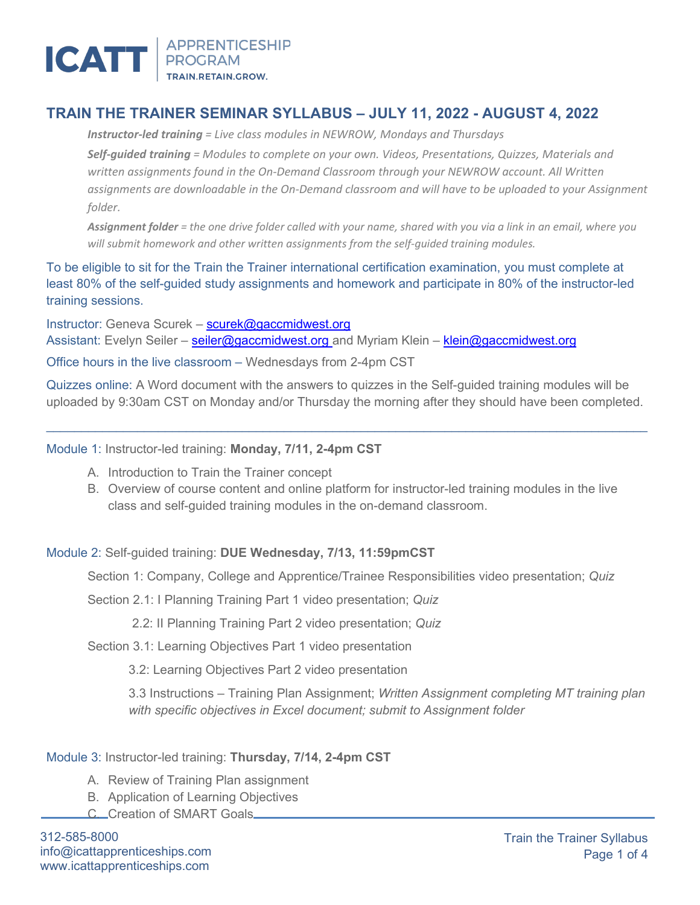

# **TRAIN THE TRAINER SEMINAR SYLLABUS – JULY 11, 2022 - AUGUST 4, 2022**

*Instructor-led training = Live class modules in NEWROW, Mondays and Thursdays* 

*Self-guided training = Modules to complete on your own. Videos, Presentations, Quizzes, Materials and written assignments found in the On-Demand Classroom through your NEWROW account. All Written assignments are downloadable in the On-Demand classroom and will have to be uploaded to your Assignment folder.*

*Assignment folder = the one drive folder called with your name, shared with you via a link in an email, where you will submit homework and other written assignments from the self-guided training modules.*

To be eligible to sit for the Train the Trainer international certification examination, you must complete at least 80% of the self-guided study assignments and homework and participate in 80% of the instructor-led training sessions.

Instructor: Geneva Scurek – [scurek@gaccmidwest.org](mailto:scurek@gaccmidwest.org) Assistant: Evelyn Seiler – [seiler@gaccmidwest.org](mailto:seiler@gaccmidwest.org) and Myriam Klein – [klein@gaccmidwest.org](mailto:klein@gaccmidwest.org) Office hours in the live classroom – Wednesdays from 2-4pm CST

Quizzes online: A Word document with the answers to quizzes in the Self-guided training modules will be uploaded by 9:30am CST on Monday and/or Thursday the morning after they should have been completed.

 $\_$  , and the state of the state of the state of the state of the state of the state of the state of the state of the state of the state of the state of the state of the state of the state of the state of the state of the

Module 1: Instructor-led training: **Monday, 7/11, 2-4pm CST**

- A. Introduction to Train the Trainer concept
- B. Overview of course content and online platform for instructor-led training modules in the live class and self-guided training modules in the on-demand classroom.

## Module 2: Self-guided training: **DUE Wednesday, 7/13, 11:59pmCST**

Section 1: Company, College and Apprentice/Trainee Responsibilities video presentation; *Quiz*

Section 2.1: I Planning Training Part 1 video presentation; *Quiz*

2.2: II Planning Training Part 2 video presentation; *Quiz*

Section 3.1: Learning Objectives Part 1 video presentation

3.2: Learning Objectives Part 2 video presentation

3.3 Instructions – Training Plan Assignment; *Written Assignment completing MT training plan with specific objectives in Excel document; submit to Assignment folder*

## Module 3: Instructor-led training: **Thursday, 7/14, 2-4pm CST**

- A. Review of Training Plan assignment
- B. Application of Learning Objectives
- C. Creation of SMART Goals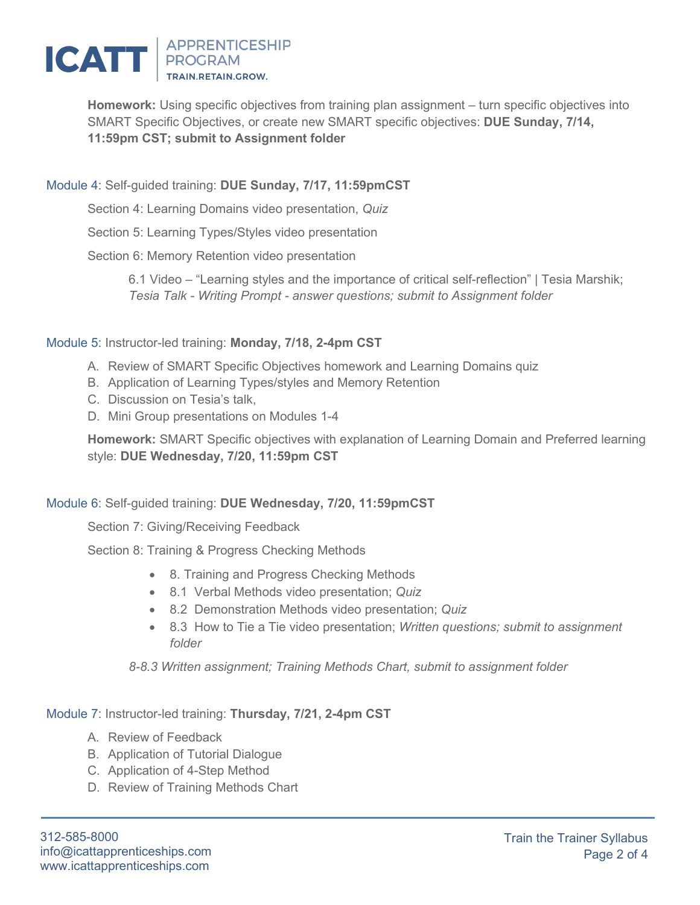

**Homework:** Using specific objectives from training plan assignment – turn specific objectives into SMART Specific Objectives, or create new SMART specific objectives: **DUE Sunday, 7/14, 11:59pm CST; submit to Assignment folder**

# Module 4: Self-guided training: **DUE Sunday, 7/17, 11:59pmCST**

Section 4: Learning Domains video presentation, *Quiz*

Section 5: Learning Types/Styles video presentation

Section 6: Memory Retention video presentation

6.1 Video – "Learning styles and the importance of critical self-reflection" | Tesia Marshik; *Tesia Talk - Writing Prompt - answer questions; submit to Assignment folder*

## Module 5: Instructor-led training: **Monday, 7/18, 2-4pm CST**

- A. Review of SMART Specific Objectives homework and Learning Domains quiz
- B. Application of Learning Types/styles and Memory Retention
- C. Discussion on Tesia's talk,
- D. Mini Group presentations on Modules 1-4

**Homework:** SMART Specific objectives with explanation of Learning Domain and Preferred learning style: **DUE Wednesday, 7/20, 11:59pm CST**

## Module 6: Self-guided training: **DUE Wednesday, 7/20, 11:59pmCST**

Section 7: Giving/Receiving Feedback

Section 8: Training & Progress Checking Methods

- 8. Training and Progress Checking Methods
- 8.1 Verbal Methods video presentation; *Quiz*
- 8.2 Demonstration Methods video presentation; *Quiz*
- 8.3 How to Tie a Tie video presentation; *Written questions; submit to assignment folder*

*8-8.3 Written assignment; Training Methods Chart, submit to assignment folder*

Module 7: Instructor-led training: **Thursday, 7/21, 2-4pm CST**

- A. Review of Feedback
- B. Application of Tutorial Dialogue
- C. Application of 4-Step Method
- D. Review of Training Methods Chart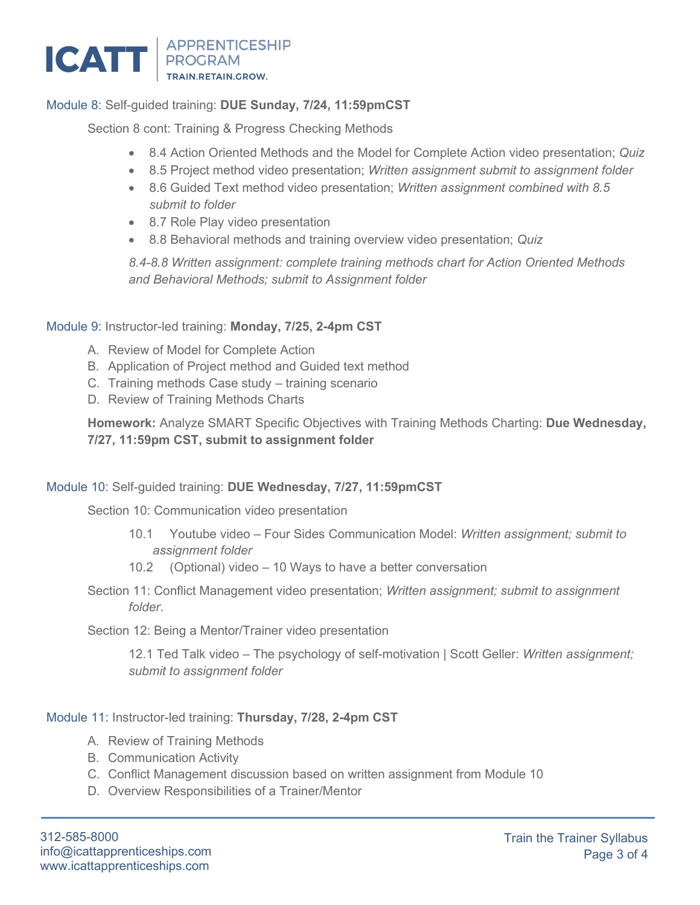

# Module 8: Self-guided training: **DUE Sunday, 7/24, 11:59pmCST**

Section 8 cont: Training & Progress Checking Methods

- 8.4 Action Oriented Methods and the Model for Complete Action video presentation; *Quiz*
- 8.5 Project method video presentation; *Written assignment submit to assignment folder*
- 8.6 Guided Text method video presentation; *Written assignment combined with 8.5 submit to folder*
- 8.7 Role Play video presentation
- 8.8 Behavioral methods and training overview video presentation; *Quiz*

*8.4-8.8 Written assignment: complete training methods chart for Action Oriented Methods and Behavioral Methods; submit to Assignment folder*

#### Module 9: Instructor-led training: **Monday, 7/25, 2-4pm CST**

- A. Review of Model for Complete Action
- B. Application of Project method and Guided text method
- C. Training methods Case study training scenario
- D. Review of Training Methods Charts

**Homework:** Analyze SMART Specific Objectives with Training Methods Charting: **Due Wednesday, 7/27, 11:59pm CST, submit to assignment folder**

## Module 10: Self-guided training: **DUE Wednesday, 7/27, 11:59pmCST**

Section 10: Communication video presentation

- 10.1 Youtube video Four Sides Communication Model: *Written assignment; submit to assignment folder*
- 10.2 (Optional) video 10 Ways to have a better conversation
- Section 11: Conflict Management video presentation; *Written assignment; submit to assignment folder*.

Section 12: Being a Mentor/Trainer video presentation

12.1 Ted Talk video – The psychology of self-motivation | Scott Geller: *Written assignment; submit to assignment folder*

#### Module 11: Instructor-led training: **Thursday, 7/28, 2-4pm CST**

- A. Review of Training Methods
- B. Communication Activity
- C. Conflict Management discussion based on written assignment from Module 10
- D. Overview Responsibilities of a Trainer/Mentor